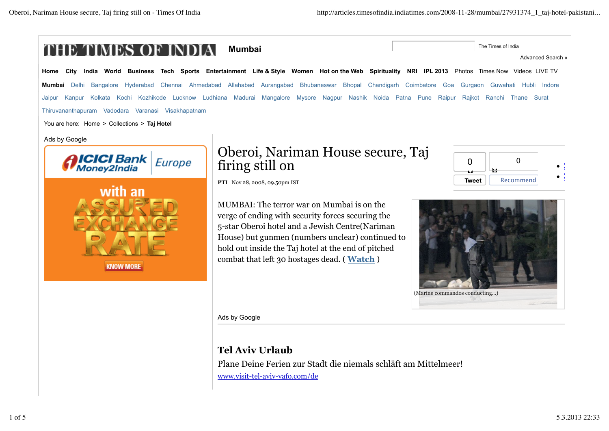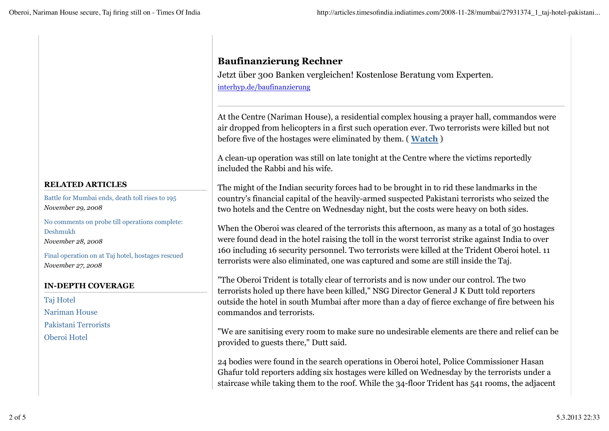### **RELATED ARTICLES**

Battle for Mumbai ends, death toll rises to 195 *November 29, 2008*

No comments on probe till operations complete: Deshmukh *November 28, 2008*

Final operation on at Taj hotel, hostages rescued *November 27, 2008*

### **IN-DEPTH COVERAGE**

Taj Hotel Nariman House Pakistani Terrorists Oberoi Hotel

## **Baufinanzierung Rechner**

Jetzt über 300 Banken vergleichen! Kostenlose Beratung vom Experten. interhyp.de/baufinanzierung

At the Centre (Nariman House), a residential complex housing a prayer hall, commandos were air dropped from helicopters in a first such operation ever. Two terrorists were killed but not before five of the hostages were eliminated by them. ( **Watch** )

A clean-up operation was still on late tonight at the Centre where the victims reportedly included the Rabbi and his wife.

The might of the Indian security forces had to be brought in to rid these landmarks in the country's financial capital of the heavily-armed suspected Pakistani terrorists who seized the two hotels and the Centre on Wednesday night, but the costs were heavy on both sides.

When the Oberoi was cleared of the terrorists this afternoon, as many as a total of 30 hostages were found dead in the hotel raising the toll in the worst terrorist strike against India to over 160 including 16 security personnel. Two terrorists were killed at the Trident Oberoi hotel. 11 terrorists were also eliminated, one was captured and some are still inside the Taj.

"The Oberoi Trident is totally clear of terrorists and is now under our control. The two terrorists holed up there have been killed," NSG Director General J K Dutt told reporters outside the hotel in south Mumbai after more than a day of fierce exchange of fire between his commandos and terrorists.

"We are sanitising every room to make sure no undesirable elements are there and relief can be provided to guests there," Dutt said.

24 bodies were found in the search operations in Oberoi hotel, Police Commissioner Hasan Ghafur told reporters adding six hostages were killed on Wednesday by the terrorists under a staircase while taking them to the roof. While the 34-floor Trident has 541 rooms, the adjacent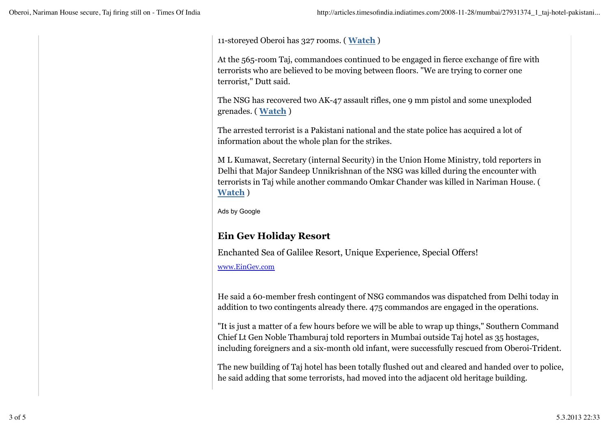11-storeyed Oberoi has 327 rooms. ( **Watch** )

At the 565-room Taj, commandoes continued to be engaged in fierce exchange of fire with terrorists who are believed to be moving between floors. "We are trying to corner one terrorist," Dutt said.

The NSG has recovered two AK-47 assault rifles, one 9 mm pistol and some unexploded grenades. ( **Watch** )

The arrested terrorist is a Pakistani national and the state police has acquired a lot of information about the whole plan for the strikes.

M L Kumawat, Secretary (internal Security) in the Union Home Ministry, told reporters in Delhi that Major Sandeep Unnikrishnan of the NSG was killed during the encounter with terrorists in Taj while another commando Omkar Chander was killed in Nariman House. ( **Watch** )

Ads by Google

# **Ein Gev Holiday Resort**

Enchanted Sea of Galilee Resort, Unique Experience, Special Offers!

www.EinGev.com

He said a 60-member fresh contingent of NSG commandos was dispatched from Delhi today in addition to two contingents already there. 475 commandos are engaged in the operations.

"It is just a matter of a few hours before we will be able to wrap up things," Southern Command Chief Lt Gen Noble Thamburaj told reporters in Mumbai outside Taj hotel as 35 hostages, including foreigners and a six-month old infant, were successfully rescued from Oberoi-Trident.

The new building of Taj hotel has been totally flushed out and cleared and handed over to police, he said adding that some terrorists, had moved into the adjacent old heritage building.